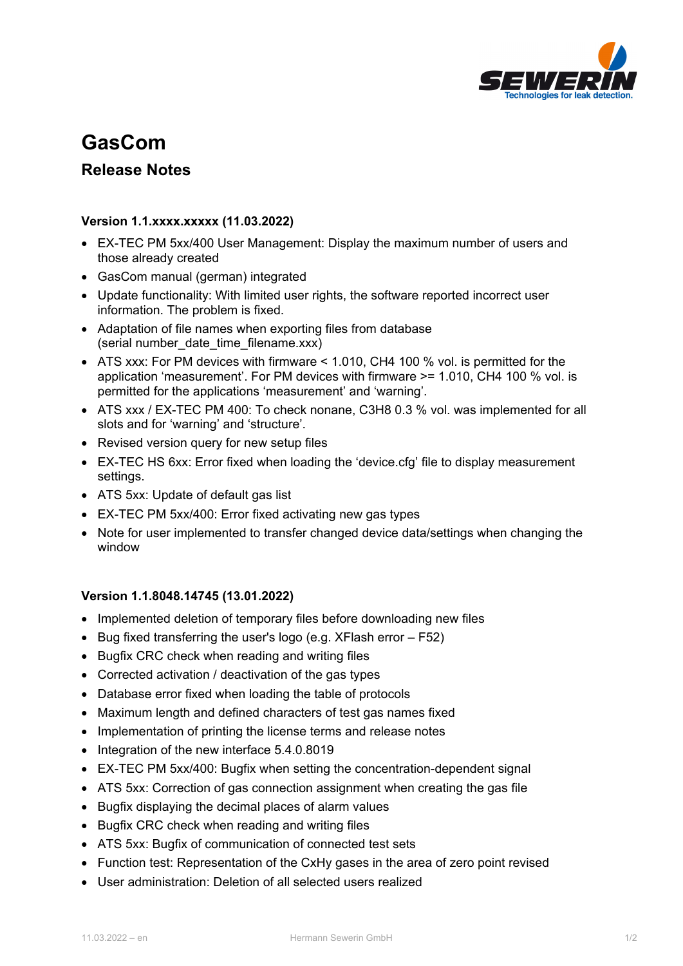

## **GasCom**

## **Release Notes**

## **Version 1.1.xxxx.xxxxx (11.03.2022)**

- EX-TEC PM 5xx/400 User Management: Display the maximum number of users and those already created
- GasCom manual (german) integrated
- Update functionality: With limited user rights, the software reported incorrect user information. The problem is fixed.
- Adaptation of file names when exporting files from database (serial number date time filename.xxx)
- ATS xxx: For PM devices with firmware < 1.010, CH4 100 % vol. is permitted for the application 'measurement'. For PM devices with firmware >= 1.010, CH4 100 % vol. is permitted for the applications 'measurement' and 'warning'.
- ATS xxx / EX-TEC PM 400: To check nonane, C3H8 0.3 % vol. was implemented for all slots and for 'warning' and 'structure'.
- Revised version query for new setup files
- EX-TEC HS 6xx: Error fixed when loading the 'device.cfg' file to display measurement settings.
- ATS 5xx: Update of default gas list
- EX-TEC PM 5xx/400: Error fixed activating new gas types
- Note for user implemented to transfer changed device data/settings when changing the window

## **Version 1.1.8048.14745 (13.01.2022)**

- Implemented deletion of temporary files before downloading new files
- $\bullet$  Bug fixed transferring the user's logo (e.g. XFlash error  $-$  F52)
- Bugfix CRC check when reading and writing files
- Corrected activation / deactivation of the gas types
- Database error fixed when loading the table of protocols
- Maximum length and defined characters of test gas names fixed
- Implementation of printing the license terms and release notes
- Integration of the new interface 5.4.0.8019
- EX-TEC PM 5xx/400: Bugfix when setting the concentration-dependent signal
- ATS 5xx: Correction of gas connection assignment when creating the gas file
- Bugfix displaying the decimal places of alarm values
- Bugfix CRC check when reading and writing files
- ATS 5xx: Bugfix of communication of connected test sets
- Function test: Representation of the CxHy gases in the area of zero point revised
- User administration: Deletion of all selected users realized